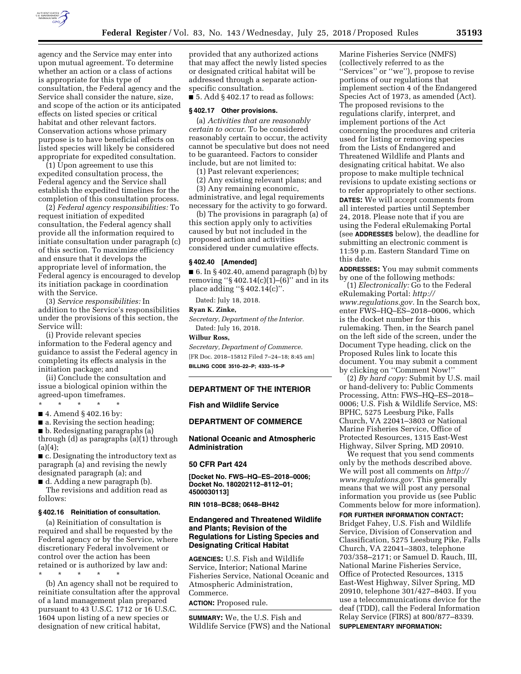

agency and the Service may enter into upon mutual agreement. To determine whether an action or a class of actions is appropriate for this type of consultation, the Federal agency and the Service shall consider the nature, size, and scope of the action or its anticipated effects on listed species or critical habitat and other relevant factors. Conservation actions whose primary purpose is to have beneficial effects on listed species will likely be considered appropriate for expedited consultation.

(1) Upon agreement to use this expedited consultation process, the Federal agency and the Service shall establish the expedited timelines for the completion of this consultation process.

(2) *Federal agency responsibilities:* To request initiation of expedited consultation, the Federal agency shall provide all the information required to initiate consultation under paragraph (c) of this section. To maximize efficiency and ensure that it develops the appropriate level of information, the Federal agency is encouraged to develop its initiation package in coordination with the Service.

(3) *Service responsibilities:* In addition to the Service's responsibilities under the provisions of this section, the Service will:

(i) Provide relevant species information to the Federal agency and guidance to assist the Federal agency in completing its effects analysis in the initiation package; and

(ii) Conclude the consultation and issue a biological opinion within the agreed-upon timeframes.

\* \* \* \* \*

- 4. Amend § 402.16 by:
- a. Revising the section heading;
- b. Redesignating paragraphs (a)

through (d) as paragraphs (a)(1) through  $(a)(4)$ :

■ c. Designating the introductory text as paragraph (a) and revising the newly designated paragraph (a); and

■ d. Adding a new paragraph (b). The revisions and addition read as follows:

#### **§ 402.16 Reinitiation of consultation.**

(a) Reinitiation of consultation is required and shall be requested by the Federal agency or by the Service, where discretionary Federal involvement or control over the action has been retained or is authorized by law and:

\* \* \* \* \* (b) An agency shall not be required to reinitiate consultation after the approval of a land management plan prepared pursuant to 43 U.S.C. 1712 or 16 U.S.C. 1604 upon listing of a new species or designation of new critical habitat,

provided that any authorized actions that may affect the newly listed species or designated critical habitat will be addressed through a separate actionspecific consultation.

 $\blacksquare$  5. Add § 402.17 to read as follows:

#### **§ 402.17 Other provisions.**

(a) *Activities that are reasonably certain to occur.* To be considered reasonably certain to occur, the activity cannot be speculative but does not need to be guaranteed. Factors to consider include, but are not limited to:

(1) Past relevant experiences;

(2) Any existing relevant plans; and

(3) Any remaining economic, administrative, and legal requirements necessary for the activity to go forward.

(b) The provisions in paragraph (a) of this section apply only to activities caused by but not included in the proposed action and activities considered under cumulative effects.

#### **§ 402.40 [Amended]**

 $\blacksquare$  6. In § 402.40, amend paragraph (b) by removing " $\S 402.14(c)(1)–(6)$ " and in its place adding ''§ 402.14(c)''.

Dated: July 18, 2018.

# **Ryan K. Zinke,**

*Secretary, Department of the Interior.*  Dated: July 16, 2018.

**Wilbur Ross,** 

*Secretary, Department of Commerce.*  [FR Doc. 2018–15812 Filed 7–24–18; 8:45 am] **BILLING CODE 3510–22–P; 4333–15–P** 

### **DEPARTMENT OF THE INTERIOR**

**Fish and Wildlife Service** 

### **DEPARTMENT OF COMMERCE**

**National Oceanic and Atmospheric Administration** 

#### **50 CFR Part 424**

**[Docket No. FWS–HQ–ES–2018–0006; Docket No. 180202112–8112–01; 4500030113]** 

**RIN 1018–BC88; 0648–BH42** 

# **Endangered and Threatened Wildlife and Plants; Revision of the Regulations for Listing Species and Designating Critical Habitat**

**AGENCIES:** U.S. Fish and Wildlife Service, Interior; National Marine Fisheries Service, National Oceanic and Atmospheric Administration, Commerce.

**ACTION:** Proposed rule.

**SUMMARY:** We, the U.S. Fish and Wildlife Service (FWS) and the National

Marine Fisheries Service (NMFS) (collectively referred to as the ''Services'' or ''we''), propose to revise portions of our regulations that implement section 4 of the Endangered Species Act of 1973, as amended (Act). The proposed revisions to the regulations clarify, interpret, and implement portions of the Act concerning the procedures and criteria used for listing or removing species from the Lists of Endangered and Threatened Wildlife and Plants and designating critical habitat. We also propose to make multiple technical revisions to update existing sections or to refer appropriately to other sections. **DATES:** We will accept comments from all interested parties until September 24, 2018. Please note that if you are using the Federal eRulemaking Portal (see **ADDRESSES** below), the deadline for submitting an electronic comment is 11:59 p.m. Eastern Standard Time on this date.

**ADDRESSES:** You may submit comments by one of the following methods:

(1) *Electronically:* Go to the Federal eRulemaking Portal: *[http://](http://www.regulations.gov) [www.regulations.gov.](http://www.regulations.gov)* In the Search box, enter FWS–HQ–ES–2018–0006, which is the docket number for this rulemaking. Then, in the Search panel on the left side of the screen, under the Document Type heading, click on the Proposed Rules link to locate this document. You may submit a comment by clicking on ''Comment Now!''

(2) *By hard copy:* Submit by U.S. mail or hand-delivery to: Public Comments Processing, Attn: FWS–HQ–ES–2018– 0006; U.S. Fish & Wildlife Service, MS: BPHC, 5275 Leesburg Pike, Falls Church, VA 22041–3803 or National Marine Fisheries Service, Office of Protected Resources, 1315 East-West Highway, Silver Spring, MD 20910.

We request that you send comments only by the methods described above. We will post all comments on *[http://](http://www.regulations.gov) [www.regulations.gov.](http://www.regulations.gov)* This generally means that we will post any personal information you provide us (see Public Comments below for more information).

**FOR FURTHER INFORMATION CONTACT:** 

Bridget Fahey, U.S. Fish and Wildlife Service, Division of Conservation and Classification, 5275 Leesburg Pike, Falls Church, VA 22041–3803, telephone 703/358–2171; or Samuel D. Rauch, III, National Marine Fisheries Service, Office of Protected Resources, 1315 East-West Highway, Silver Spring, MD 20910, telephone 301/427–8403. If you use a telecommunications device for the deaf (TDD), call the Federal Information Relay Service (FIRS) at 800/877–8339. **SUPPLEMENTARY INFORMATION:**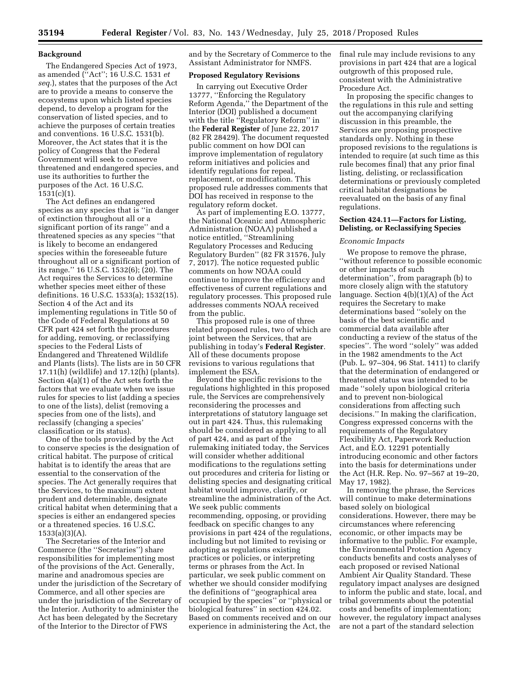### **Background**

The Endangered Species Act of 1973, as amended (''Act''; 16 U.S.C. 1531 *et seq.*), states that the purposes of the Act are to provide a means to conserve the ecosystems upon which listed species depend, to develop a program for the conservation of listed species, and to achieve the purposes of certain treaties and conventions. 16 U.S.C. 1531(b). Moreover, the Act states that it is the policy of Congress that the Federal Government will seek to conserve threatened and endangered species, and use its authorities to further the purposes of the Act. 16 U.S.C. 1531(c)(1).

The Act defines an endangered species as any species that is ''in danger of extinction throughout all or a significant portion of its range'' and a threatened species as any species ''that is likely to become an endangered species within the foreseeable future throughout all or a significant portion of its range.'' 16 U.S.C. 1532(6); (20). The Act requires the Services to determine whether species meet either of these definitions. 16 U.S.C. 1533(a); 1532(15). Section 4 of the Act and its implementing regulations in Title 50 of the Code of Federal Regulations at 50 CFR part 424 set forth the procedures for adding, removing, or reclassifying species to the Federal Lists of Endangered and Threatened Wildlife and Plants (lists). The lists are in 50 CFR 17.11(h) (wildlife) and 17.12(h) (plants). Section 4(a)(1) of the Act sets forth the factors that we evaluate when we issue rules for species to list (adding a species to one of the lists), delist (removing a species from one of the lists), and reclassify (changing a species' classification or its status).

One of the tools provided by the Act to conserve species is the designation of critical habitat. The purpose of critical habitat is to identify the areas that are essential to the conservation of the species. The Act generally requires that the Services, to the maximum extent prudent and determinable, designate critical habitat when determining that a species is either an endangered species or a threatened species. 16 U.S.C. 1533(a)(3)(A).

The Secretaries of the Interior and Commerce (the ''Secretaries'') share responsibilities for implementing most of the provisions of the Act. Generally, marine and anadromous species are under the jurisdiction of the Secretary of Commerce, and all other species are under the jurisdiction of the Secretary of the Interior. Authority to administer the Act has been delegated by the Secretary of the Interior to the Director of FWS

and by the Secretary of Commerce to the Assistant Administrator for NMFS.

### **Proposed Regulatory Revisions**

In carrying out Executive Order 13777, ''Enforcing the Regulatory Reform Agenda,'' the Department of the Interior (DOI) published a document with the title ''Regulatory Reform'' in the **Federal Register** of June 22, 2017 (82 FR 28429). The document requested public comment on how DOI can improve implementation of regulatory reform initiatives and policies and identify regulations for repeal, replacement, or modification. This proposed rule addresses comments that DOI has received in response to the regulatory reform docket.

As part of implementing E.O. 13777, the National Oceanic and Atmospheric Administration (NOAA) published a notice entitled, ''Streamlining Regulatory Processes and Reducing Regulatory Burden'' (82 FR 31576, July 7, 2017). The notice requested public comments on how NOAA could continue to improve the efficiency and effectiveness of current regulations and regulatory processes. This proposed rule addresses comments NOAA received from the public.

This proposed rule is one of three related proposed rules, two of which are joint between the Services, that are publishing in today's **Federal Register**. All of these documents propose revisions to various regulations that implement the ESA.

Beyond the specific revisions to the regulations highlighted in this proposed rule, the Services are comprehensively reconsidering the processes and interpretations of statutory language set out in part 424. Thus, this rulemaking should be considered as applying to all of part 424, and as part of the rulemaking initiated today, the Services will consider whether additional modifications to the regulations setting out procedures and criteria for listing or delisting species and designating critical habitat would improve, clarify, or streamline the administration of the Act. We seek public comments recommending, opposing, or providing feedback on specific changes to any provisions in part 424 of the regulations, including but not limited to revising or adopting as regulations existing practices or policies, or interpreting terms or phrases from the Act. In particular, we seek public comment on whether we should consider modifying the definitions of ''geographical area occupied by the species'' or ''physical or biological features'' in section 424.02. Based on comments received and on our experience in administering the Act, the

final rule may include revisions to any provisions in part 424 that are a logical outgrowth of this proposed rule, consistent with the Administrative Procedure Act.

In proposing the specific changes to the regulations in this rule and setting out the accompanying clarifying discussion in this preamble, the Services are proposing prospective standards only. Nothing in these proposed revisions to the regulations is intended to require (at such time as this rule becomes final) that any prior final listing, delisting, or reclassification determinations or previously completed critical habitat designations be reevaluated on the basis of any final regulations.

## **Section 424.11—Factors for Listing, Delisting, or Reclassifying Species**

#### *Economic Impacts*

We propose to remove the phrase, ''without reference to possible economic or other impacts of such determination'', from paragraph (b) to more closely align with the statutory language. Section 4(b)(1)(A) of the Act requires the Secretary to make determinations based ''solely on the basis of the best scientific and commercial data available after conducting a review of the status of the species''. The word ''solely'' was added in the 1982 amendments to the Act (Pub. L. 97–304, 96 Stat. 1411) to clarify that the determination of endangered or threatened status was intended to be made ''solely upon biological criteria and to prevent non-biological considerations from affecting such decisions.'' In making the clarification, Congress expressed concerns with the requirements of the Regulatory Flexibility Act, Paperwork Reduction Act, and E.O. 12291 potentially introducing economic and other factors into the basis for determinations under the Act (H.R. Rep. No. 97–567 at 19–20, May 17, 1982).

In removing the phrase, the Services will continue to make determinations based solely on biological considerations. However, there may be circumstances where referencing economic, or other impacts may be informative to the public. For example, the Environmental Protection Agency conducts benefits and costs analyses of each proposed or revised National Ambient Air Quality Standard. These regulatory impact analyses are designed to inform the public and state, local, and tribal governments about the potential costs and benefits of implementation; however, the regulatory impact analyses are not a part of the standard selection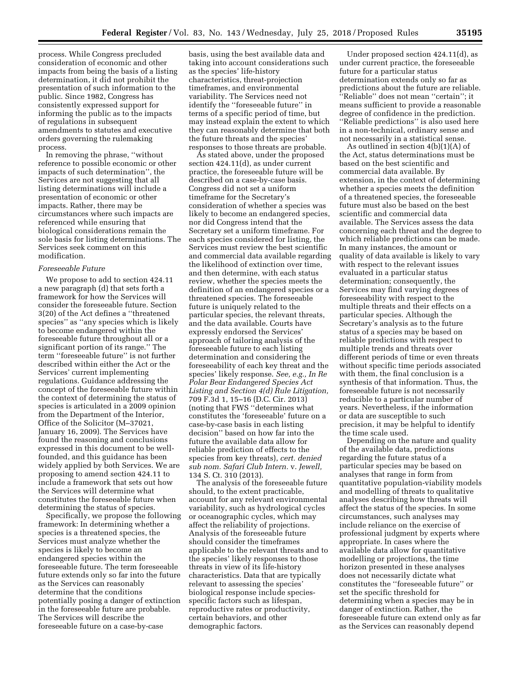process. While Congress precluded consideration of economic and other impacts from being the basis of a listing determination, it did not prohibit the presentation of such information to the public. Since 1982, Congress has consistently expressed support for informing the public as to the impacts of regulations in subsequent amendments to statutes and executive orders governing the rulemaking process.

In removing the phrase, ''without reference to possible economic or other impacts of such determination'', the Services are not suggesting that all listing determinations will include a presentation of economic or other impacts. Rather, there may be circumstances where such impacts are referenced while ensuring that biological considerations remain the sole basis for listing determinations. The Services seek comment on this modification.

### *Foreseeable Future*

We propose to add to section 424.11 a new paragraph (d) that sets forth a framework for how the Services will consider the foreseeable future. Section 3(20) of the Act defines a ''threatened species'' as ''any species which is likely to become endangered within the foreseeable future throughout all or a significant portion of its range.'' The term ''foreseeable future'' is not further described within either the Act or the Services' current implementing regulations. Guidance addressing the concept of the foreseeable future within the context of determining the status of species is articulated in a 2009 opinion from the Department of the Interior, Office of the Solicitor (M–37021, January 16, 2009). The Services have found the reasoning and conclusions expressed in this document to be wellfounded, and this guidance has been widely applied by both Services. We are proposing to amend section 424.11 to include a framework that sets out how the Services will determine what constitutes the foreseeable future when determining the status of species.

Specifically, we propose the following framework: In determining whether a species is a threatened species, the Services must analyze whether the species is likely to become an endangered species within the foreseeable future. The term foreseeable future extends only so far into the future as the Services can reasonably determine that the conditions potentially posing a danger of extinction in the foreseeable future are probable. The Services will describe the foreseeable future on a case-by-case

basis, using the best available data and taking into account considerations such as the species' life-history characteristics, threat-projection timeframes, and environmental variability. The Services need not identify the ''foreseeable future'' in terms of a specific period of time, but may instead explain the extent to which they can reasonably determine that both the future threats and the species' responses to those threats are probable.

As stated above, under the proposed section 424.11(d), as under current practice, the foreseeable future will be described on a case-by-case basis. Congress did not set a uniform timeframe for the Secretary's consideration of whether a species was likely to become an endangered species, nor did Congress intend that the Secretary set a uniform timeframe. For each species considered for listing, the Services must review the best scientific and commercial data available regarding the likelihood of extinction over time, and then determine, with each status review, whether the species meets the definition of an endangered species or a threatened species. The foreseeable future is uniquely related to the particular species, the relevant threats, and the data available. Courts have expressly endorsed the Services' approach of tailoring analysis of the foreseeable future to each listing determination and considering the foreseeability of each key threat and the species' likely response. *See, e.g., In Re Polar Bear Endangered Species Act Listing and Section 4(d) Rule Litigation,*  709 F.3d 1, 15–16 (D.C. Cir. 2013) (noting that FWS ''determines what constitutes the 'foreseeable' future on a case-by-case basis in each listing decision'' based on how far into the future the available data allow for reliable prediction of effects to the species from key threats), *cert. denied sub nom. Safari Club Intern.* v. *Jewell,*  134 S. Ct. 310 (2013).

The analysis of the foreseeable future should, to the extent practicable, account for any relevant environmental variability, such as hydrological cycles or oceanographic cycles, which may affect the reliability of projections. Analysis of the foreseeable future should consider the timeframes applicable to the relevant threats and to the species' likely responses to those threats in view of its life-history characteristics. Data that are typically relevant to assessing the species' biological response include speciesspecific factors such as lifespan, reproductive rates or productivity, certain behaviors, and other demographic factors.

Under proposed section 424.11(d), as under current practice, the foreseeable future for a particular status determination extends only so far as predictions about the future are reliable. ''Reliable'' does not mean ''certain''; it means sufficient to provide a reasonable degree of confidence in the prediction. ''Reliable predictions'' is also used here in a non-technical, ordinary sense and not necessarily in a statistical sense.

As outlined in section 4(b)(1)(A) of the Act, status determinations must be based on the best scientific and commercial data available. By extension, in the context of determining whether a species meets the definition of a threatened species, the foreseeable future must also be based on the best scientific and commercial data available. The Services assess the data concerning each threat and the degree to which reliable predictions can be made. In many instances, the amount or quality of data available is likely to vary with respect to the relevant issues evaluated in a particular status determination; consequently, the Services may find varying degrees of foreseeability with respect to the multiple threats and their effects on a particular species. Although the Secretary's analysis as to the future status of a species may be based on reliable predictions with respect to multiple trends and threats over different periods of time or even threats without specific time periods associated with them, the final conclusion is a synthesis of that information. Thus, the foreseeable future is not necessarily reducible to a particular number of years. Nevertheless, if the information or data are susceptible to such precision, it may be helpful to identify the time scale used.

Depending on the nature and quality of the available data, predictions regarding the future status of a particular species may be based on analyses that range in form from quantitative population-viability models and modelling of threats to qualitative analyses describing how threats will affect the status of the species. In some circumstances, such analyses may include reliance on the exercise of professional judgment by experts where appropriate. In cases where the available data allow for quantitative modelling or projections, the time horizon presented in these analyses does not necessarily dictate what constitutes the ''foreseeable future'' or set the specific threshold for determining when a species may be in danger of extinction. Rather, the foreseeable future can extend only as far as the Services can reasonably depend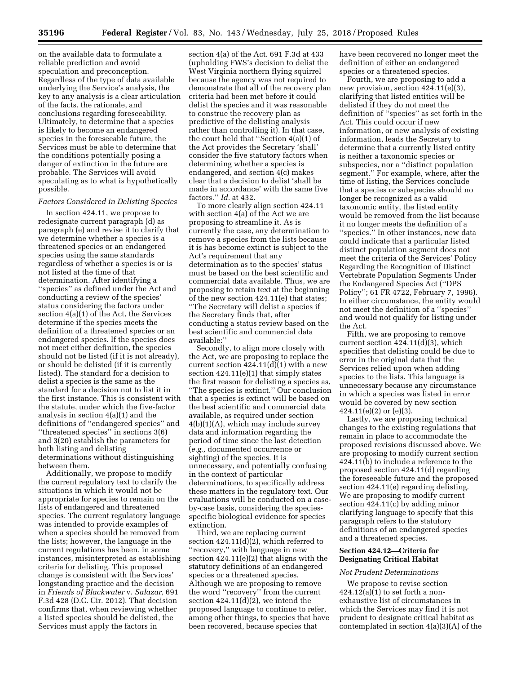on the available data to formulate a reliable prediction and avoid speculation and preconception. Regardless of the type of data available underlying the Service's analysis, the key to any analysis is a clear articulation of the facts, the rationale, and conclusions regarding foreseeability. Ultimately, to determine that a species is likely to become an endangered species in the foreseeable future, the Services must be able to determine that the conditions potentially posing a danger of extinction in the future are probable. The Services will avoid speculating as to what is hypothetically possible.

### *Factors Considered in Delisting Species*

In section 424.11, we propose to redesignate current paragraph (d) as paragraph (e) and revise it to clarify that we determine whether a species is a threatened species or an endangered species using the same standards regardless of whether a species is or is not listed at the time of that determination. After identifying a ''species'' as defined under the Act and conducting a review of the species' status considering the factors under section 4(a)(1) of the Act, the Services determine if the species meets the definition of a threatened species or an endangered species. If the species does not meet either definition, the species should not be listed (if it is not already), or should be delisted (if it is currently listed). The standard for a decision to delist a species is the same as the standard for a decision not to list it in the first instance. This is consistent with the statute, under which the five-factor analysis in section 4(a)(1) and the definitions of ''endangered species'' and ''threatened species'' in sections 3(6) and 3(20) establish the parameters for both listing and delisting determinations without distinguishing between them.

Additionally, we propose to modify the current regulatory text to clarify the situations in which it would not be appropriate for species to remain on the lists of endangered and threatened species. The current regulatory language was intended to provide examples of when a species should be removed from the lists; however, the language in the current regulations has been, in some instances, misinterpreted as establishing criteria for delisting. This proposed change is consistent with the Services' longstanding practice and the decision in *Friends of Blackwater* v. *Salazar,* 691 F.3d 428 (D.C. Cir. 2012). That decision confirms that, when reviewing whether a listed species should be delisted, the Services must apply the factors in

section 4(a) of the Act. 691 F.3d at 433 (upholding FWS's decision to delist the West Virginia northern flying squirrel because the agency was not required to demonstrate that all of the recovery plan criteria had been met before it could delist the species and it was reasonable to construe the recovery plan as predictive of the delisting analysis rather than controlling it). In that case, the court held that ''Section 4(a)(1) of the Act provides the Secretary 'shall' consider the five statutory factors when determining whether a species is endangered, and section 4(c) makes clear that a decision to delist 'shall be made in accordance' with the same five factors.'' *Id.* at 432.

To more clearly align section 424.11 with section 4(a) of the Act we are proposing to streamline it. As is currently the case, any determination to remove a species from the lists because it is has become extinct is subject to the Act's requirement that any determination as to the species' status must be based on the best scientific and commercial data available. Thus, we are proposing to retain text at the beginning of the new section 424.11(e) that states; ''The Secretary will delist a species if the Secretary finds that, after conducting a status review based on the best scientific and commercial data available:''

Secondly, to align more closely with the Act, we are proposing to replace the current section  $424.11(d)(1)$  with a new section 424.11(e)(1) that simply states the first reason for delisting a species as, ''The species is extinct.'' Our conclusion that a species is extinct will be based on the best scientific and commercial data available, as required under section 4(b)(1)(A), which may include survey data and information regarding the period of time since the last detection (*e.g.,* documented occurrence or sighting) of the species. It is unnecessary, and potentially confusing in the context of particular determinations, to specifically address these matters in the regulatory text. Our evaluations will be conducted on a caseby-case basis, considering the speciesspecific biological evidence for species extinction.

Third, we are replacing current section 424.11(d)(2), which referred to ''recovery,'' with language in new section 424.11(e)(2) that aligns with the statutory definitions of an endangered species or a threatened species. Although we are proposing to remove the word ''recovery'' from the current section  $424.11(d)(2)$ , we intend the proposed language to continue to refer, among other things, to species that have been recovered, because species that

have been recovered no longer meet the definition of either an endangered species or a threatened species.

Fourth, we are proposing to add a new provision, section 424.11(e)(3), clarifying that listed entities will be delisted if they do not meet the definition of ''species'' as set forth in the Act. This could occur if new information, or new analysis of existing information, leads the Secretary to determine that a currently listed entity is neither a taxonomic species or subspecies, nor a ''distinct population segment.'' For example, where, after the time of listing, the Services conclude that a species or subspecies should no longer be recognized as a valid taxonomic entity, the listed entity would be removed from the list because it no longer meets the definition of a ''species.'' In other instances, new data could indicate that a particular listed distinct population segment does not meet the criteria of the Services' Policy Regarding the Recognition of Distinct Vertebrate Population Segments Under the Endangered Species Act (''DPS Policy''; 61 FR 4722, February 7, 1996). In either circumstance, the entity would not meet the definition of a ''species'' and would not qualify for listing under the Act.

Fifth, we are proposing to remove current section 424.11(d)(3), which specifies that delisting could be due to error in the original data that the Services relied upon when adding species to the lists. This language is unnecessary because any circumstance in which a species was listed in error would be covered by new section  $424.11(e)(2)$  or  $(e)(3)$ .

Lastly, we are proposing technical changes to the existing regulations that remain in place to accommodate the proposed revisions discussed above. We are proposing to modify current section 424.11(b) to include a reference to the proposed section 424.11(d) regarding the foreseeable future and the proposed section 424.11(e) regarding delisting. We are proposing to modify current section 424.11(c) by adding minor clarifying language to specify that this paragraph refers to the statutory definitions of an endangered species and a threatened species.

## **Section 424.12—Criteria for Designating Critical Habitat**

### *Not Prudent Determinations*

We propose to revise section  $424.12(a)(1)$  to set forth a nonexhaustive list of circumstances in which the Services may find it is not prudent to designate critical habitat as contemplated in section 4(a)(3)(A) of the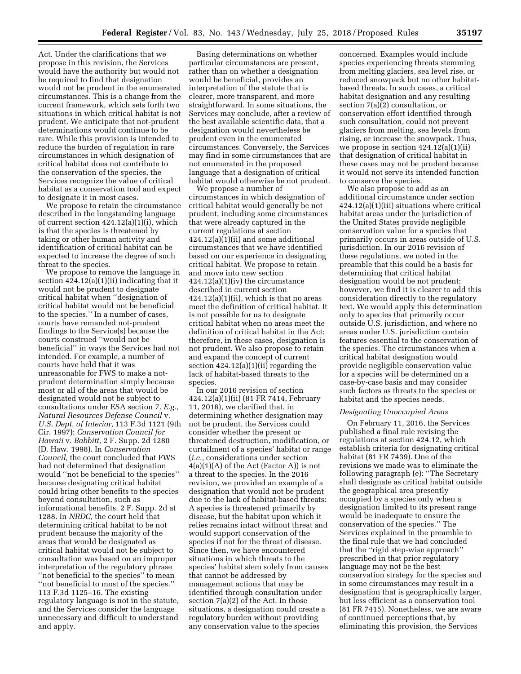Act. Under the clarifications that we propose in this revision, the Services would have the authority but would not be required to find that designation would not be prudent in the enumerated circumstances. This is a change from the current framework, which sets forth two situations in which critical habitat is not prudent. We anticipate that not-prudent determinations would continue to be rare. While this provision is intended to reduce the burden of regulation in rare circumstances in which designation of critical habitat does not contribute to the conservation of the species, the Services recognize the value of critical habitat as a conservation tool and expect to designate it in most cases.

We propose to retain the circumstance described in the longstanding language of current section 424.12(a)(1)(i), which is that the species is threatened by taking or other human activity and identification of critical habitat can be expected to increase the degree of such threat to the species.

We propose to remove the language in section 424.12(a)(1)(ii) indicating that it would not be prudent to designate critical habitat when ''designation of critical habitat would not be beneficial to the species.'' In a number of cases, courts have remanded not-prudent findings to the Service(s) because the courts construed ''would not be beneficial'' in ways the Services had not intended. For example, a number of courts have held that it was unreasonable for FWS to make a notprudent determination simply because most or all of the areas that would be designated would not be subject to consultations under ESA section 7. *E.g., Natural Resources Defense Council* v. *U.S. Dept. of Interior,* 113 F.3d 1121 (9th Cir. 1997); *Conservation Council for Hawaii* v. *Babbitt,* 2 F. Supp. 2d 1280 (D. Haw. 1998). In *Conservation Council,* the court concluded that FWS had not determined that designation would ''not be beneficial to the species'' because designating critical habitat could bring other benefits to the species beyond consultation, such as informational benefits. 2 F. Supp. 2d at 1288. In *NRDC,* the court held that determining critical habitat to be not prudent because the majority of the areas that would be designated as critical habitat would not be subject to consultation was based on an improper interpretation of the regulatory phrase ''not beneficial to the species'' to mean ''not beneficial to most of the species.'' 113 F.3d 1125–16. The existing regulatory language is not in the statute, and the Services consider the language unnecessary and difficult to understand and apply.

Basing determinations on whether particular circumstances are present, rather than on whether a designation would be beneficial, provides an interpretation of the statute that is clearer, more transparent, and more straightforward. In some situations, the Services may conclude, after a review of the best available scientific data, that a designation would nevertheless be prudent even in the enumerated circumstances. Conversely, the Services may find in some circumstances that are not enumerated in the proposed language that a designation of critical habitat would otherwise be not prudent.

We propose a number of circumstances in which designation of critical habitat would generally be not prudent, including some circumstances that were already captured in the current regulations at section 424.12(a)(1)(ii) and some additional circumstances that we have identified based on our experience in designating critical habitat. We propose to retain and move into new section 424.12(a)(1)(iv) the circumstance described in current section  $424.12(a)(1)(ii)$ , which is that no areas meet the definition of critical habitat. It is not possible for us to designate critical habitat when no areas meet the definition of critical habitat in the Act; therefore, in these cases, designation is not prudent. We also propose to retain and expand the concept of current section 424.12(a)(1)(ii) regarding the lack of habitat-based threats to the species.

In our 2016 revision of section 424.12(a)(1)(ii) (81 FR 7414, February 11, 2016), we clarified that, in determining whether designation may not be prudent, the Services could consider whether the present or threatened destruction, modification, or curtailment of a species' habitat or range (*i.e.,* considerations under section 4(a)(1)(A) of the Act (Factor A)) is not a threat to the species. In the 2016 revision, we provided an example of a designation that would not be prudent due to the lack of habitat-based threats: A species is threatened primarily by disease, but the habitat upon which it relies remains intact without threat and would support conservation of the species if not for the threat of disease. Since then, we have encountered situations in which threats to the species' habitat stem solely from causes that cannot be addressed by management actions that may be identified through consultation under section 7(a)(2) of the Act. In those situations, a designation could create a regulatory burden without providing any conservation value to the species

concerned. Examples would include species experiencing threats stemming from melting glaciers, sea level rise, or reduced snowpack but no other habitatbased threats. In such cases, a critical habitat designation and any resulting section 7(a)(2) consultation, or conservation effort identified through such consultation, could not prevent glaciers from melting, sea levels from rising, or increase the snowpack. Thus, we propose in section 424.12(a)(1)(ii) that designation of critical habitat in these cases may not be prudent because it would not serve its intended function to conserve the species.

We also propose to add as an additional circumstance under section 424.12(a)(1)(iii) situations where critical habitat areas under the jurisdiction of the United States provide negligible conservation value for a species that primarily occurs in areas outside of U.S. jurisdiction. In our 2016 revision of these regulations, we noted in the preamble that this could be a basis for determining that critical habitat designation would be not prudent; however, we find it is clearer to add this consideration directly to the regulatory text. We would apply this determination only to species that primarily occur outside U.S. jurisdiction, and where no areas under U.S. jurisdiction contain features essential to the conservation of the species. The circumstances when a critical habitat designation would provide negligible conservation value for a species will be determined on a case-by-case basis and may consider such factors as threats to the species or habitat and the species needs.

## *Designating Unoccupied Areas*

On February 11, 2016, the Services published a final rule revising the regulations at section 424.12, which establish criteria for designating critical habitat (81 FR 7439). One of the revisions we made was to eliminate the following paragraph (e): ''The Secretary shall designate as critical habitat outside the geographical area presently occupied by a species only when a designation limited to its present range would be inadequate to ensure the conservation of the species.'' The Services explained in the preamble to the final rule that we had concluded that the ''rigid step-wise approach'' prescribed in that prior regulatory language may not be the best conservation strategy for the species and in some circumstances may result in a designation that is geographically larger, but less efficient as a conservation tool (81 FR 7415). Nonetheless, we are aware of continued perceptions that, by eliminating this provision, the Services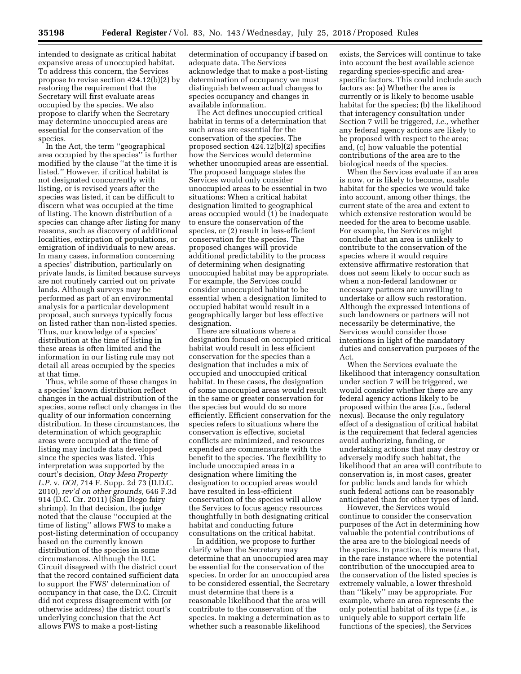intended to designate as critical habitat expansive areas of unoccupied habitat. To address this concern, the Services propose to revise section 424.12(b)(2) by restoring the requirement that the Secretary will first evaluate areas occupied by the species. We also propose to clarify when the Secretary may determine unoccupied areas are essential for the conservation of the species.

In the Act, the term ''geographical area occupied by the species'' is further modified by the clause ''at the time it is listed.'' However, if critical habitat is not designated concurrently with listing, or is revised years after the species was listed, it can be difficult to discern what was occupied at the time of listing. The known distribution of a species can change after listing for many reasons, such as discovery of additional localities, extirpation of populations, or emigration of individuals to new areas. In many cases, information concerning a species' distribution, particularly on private lands, is limited because surveys are not routinely carried out on private lands. Although surveys may be performed as part of an environmental analysis for a particular development proposal, such surveys typically focus on listed rather than non-listed species. Thus, our knowledge of a species' distribution at the time of listing in these areas is often limited and the information in our listing rule may not detail all areas occupied by the species at that time.

Thus, while some of these changes in a species' known distribution reflect changes in the actual distribution of the species, some reflect only changes in the quality of our information concerning distribution. In these circumstances, the determination of which geographic areas were occupied at the time of listing may include data developed since the species was listed. This interpretation was supported by the court's decision, *Otay Mesa Property L.P.* v. *DOI,* 714 F. Supp. 2d 73 (D.D.C. 2010), *rev'd on other grounds,* 646 F.3d 914 (D.C. Cir. 2011) (San Diego fairy shrimp). In that decision, the judge noted that the clause ''occupied at the time of listing'' allows FWS to make a post-listing determination of occupancy based on the currently known distribution of the species in some circumstances. Although the D.C. Circuit disagreed with the district court that the record contained sufficient data to support the FWS' determination of occupancy in that case, the D.C. Circuit did not express disagreement with (or otherwise address) the district court's underlying conclusion that the Act allows FWS to make a post-listing

determination of occupancy if based on adequate data. The Services acknowledge that to make a post-listing determination of occupancy we must distinguish between actual changes to species occupancy and changes in available information.

The Act defines unoccupied critical habitat in terms of a determination that such areas are essential for the conservation of the species. The proposed section 424.12(b)(2) specifies how the Services would determine whether unoccupied areas are essential. The proposed language states the Services would only consider unoccupied areas to be essential in two situations: When a critical habitat designation limited to geographical areas occupied would (1) be inadequate to ensure the conservation of the species, or (2) result in less-efficient conservation for the species. The proposed changes will provide additional predictability to the process of determining when designating unoccupied habitat may be appropriate. For example, the Services could consider unoccupied habitat to be essential when a designation limited to occupied habitat would result in a geographically larger but less effective designation.

There are situations where a designation focused on occupied critical habitat would result in less efficient conservation for the species than a designation that includes a mix of occupied and unoccupied critical habitat. In these cases, the designation of some unoccupied areas would result in the same or greater conservation for the species but would do so more efficiently. Efficient conservation for the species refers to situations where the conservation is effective, societal conflicts are minimized, and resources expended are commensurate with the benefit to the species. The flexibility to include unoccupied areas in a designation where limiting the designation to occupied areas would have resulted in less-efficient conservation of the species will allow the Services to focus agency resources thoughtfully in both designating critical habitat and conducting future consultations on the critical habitat.

In addition, we propose to further clarify when the Secretary may determine that an unoccupied area may be essential for the conservation of the species. In order for an unoccupied area to be considered essential, the Secretary must determine that there is a reasonable likelihood that the area will contribute to the conservation of the species. In making a determination as to whether such a reasonable likelihood

exists, the Services will continue to take into account the best available science regarding species-specific and areaspecific factors. This could include such factors as: (a) Whether the area is currently or is likely to become usable habitat for the species; (b) the likelihood that interagency consultation under Section 7 will be triggered, *i.e.,* whether any federal agency actions are likely to be proposed with respect to the area; and, (c) how valuable the potential contributions of the area are to the biological needs of the species.

When the Services evaluate if an area is now, or is likely to become, usable habitat for the species we would take into account, among other things, the current state of the area and extent to which extensive restoration would be needed for the area to become usable. For example, the Services might conclude that an area is unlikely to contribute to the conservation of the species where it would require extensive affirmative restoration that does not seem likely to occur such as when a non-federal landowner or necessary partners are unwilling to undertake or allow such restoration. Although the expressed intentions of such landowners or partners will not necessarily be determinative, the Services would consider those intentions in light of the mandatory duties and conservation purposes of the Act.

When the Services evaluate the likelihood that interagency consultation under section 7 will be triggered, we would consider whether there are any federal agency actions likely to be proposed within the area (*i.e.,* federal nexus). Because the only regulatory effect of a designation of critical habitat is the requirement that federal agencies avoid authorizing, funding, or undertaking actions that may destroy or adversely modify such habitat, the likelihood that an area will contribute to conservation is, in most cases, greater for public lands and lands for which such federal actions can be reasonably anticipated than for other types of land.

However, the Services would continue to consider the conservation purposes of the Act in determining how valuable the potential contributions of the area are to the biological needs of the species. In practice, this means that, in the rare instance where the potential contribution of the unoccupied area to the conservation of the listed species is extremely valuable, a lower threshold than ''likely'' may be appropriate. For example, where an area represents the only potential habitat of its type (*i.e.,* is uniquely able to support certain life functions of the species), the Services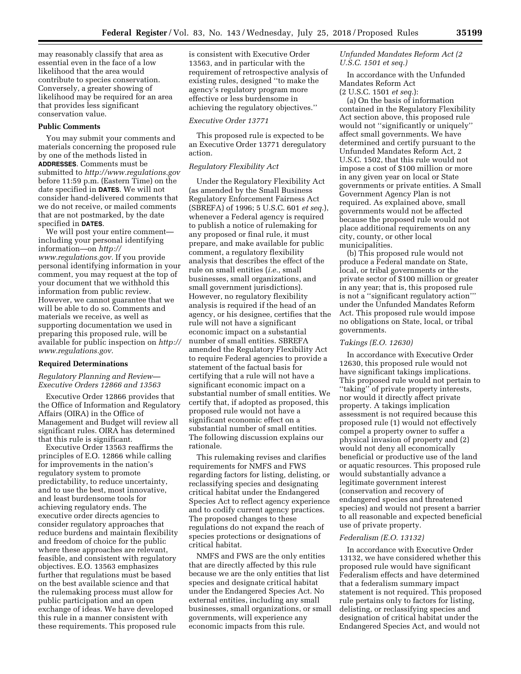may reasonably classify that area as essential even in the face of a low likelihood that the area would contribute to species conservation. Conversely, a greater showing of likelihood may be required for an area that provides less significant conservation value.

#### **Public Comments**

You may submit your comments and materials concerning the proposed rule by one of the methods listed in **ADDRESSES**. Comments must be submitted to *<http://www.regulations.gov>* before 11:59 p.m. (Eastern Time) on the date specified in **DATES**. We will not consider hand-delivered comments that we do not receive, or mailed comments that are not postmarked, by the date specified in **DATES**.

We will post your entire comment including your personal identifying information—on *[http://](http://www.regulations.gov) [www.regulations.gov.](http://www.regulations.gov)* If you provide personal identifying information in your comment, you may request at the top of your document that we withhold this information from public review. However, we cannot guarantee that we will be able to do so. Comments and materials we receive, as well as supporting documentation we used in preparing this proposed rule, will be available for public inspection on *[http://](http://www.regulations.gov)  [www.regulations.gov.](http://www.regulations.gov)* 

## **Required Determinations**

### *Regulatory Planning and Review— Executive Orders 12866 and 13563*

Executive Order 12866 provides that the Office of Information and Regulatory Affairs (OIRA) in the Office of Management and Budget will review all significant rules. OIRA has determined that this rule is significant.

Executive Order 13563 reaffirms the principles of E.O. 12866 while calling for improvements in the nation's regulatory system to promote predictability, to reduce uncertainty, and to use the best, most innovative, and least burdensome tools for achieving regulatory ends. The executive order directs agencies to consider regulatory approaches that reduce burdens and maintain flexibility and freedom of choice for the public where these approaches are relevant, feasible, and consistent with regulatory objectives. E.O. 13563 emphasizes further that regulations must be based on the best available science and that the rulemaking process must allow for public participation and an open exchange of ideas. We have developed this rule in a manner consistent with these requirements. This proposed rule

is consistent with Executive Order 13563, and in particular with the requirement of retrospective analysis of existing rules, designed ''to make the agency's regulatory program more effective or less burdensome in achieving the regulatory objectives.''

# *Executive Order 13771*

This proposed rule is expected to be an Executive Order 13771 deregulatory action.

# *Regulatory Flexibility Act*

Under the Regulatory Flexibility Act (as amended by the Small Business Regulatory Enforcement Fairness Act (SBREFA) of 1996; 5 U.S.C. 601 *et seq.*), whenever a Federal agency is required to publish a notice of rulemaking for any proposed or final rule, it must prepare, and make available for public comment, a regulatory flexibility analysis that describes the effect of the rule on small entities (*i.e.,* small businesses, small organizations, and small government jurisdictions). However, no regulatory flexibility analysis is required if the head of an agency, or his designee, certifies that the rule will not have a significant economic impact on a substantial number of small entities. SBREFA amended the Regulatory Flexibility Act to require Federal agencies to provide a statement of the factual basis for certifying that a rule will not have a significant economic impact on a substantial number of small entities. We certify that, if adopted as proposed, this proposed rule would not have a significant economic effect on a substantial number of small entities. The following discussion explains our rationale.

This rulemaking revises and clarifies requirements for NMFS and FWS regarding factors for listing, delisting, or reclassifying species and designating critical habitat under the Endangered Species Act to reflect agency experience and to codify current agency practices. The proposed changes to these regulations do not expand the reach of species protections or designations of critical habitat.

NMFS and FWS are the only entities that are directly affected by this rule because we are the only entities that list species and designate critical habitat under the Endangered Species Act. No external entities, including any small businesses, small organizations, or small governments, will experience any economic impacts from this rule.

# *Unfunded Mandates Reform Act (2 U.S.C. 1501 et seq.)*

In accordance with the Unfunded Mandates Reform Act

(2 U.S.C. 1501 *et seq.*):

(a) On the basis of information contained in the Regulatory Flexibility Act section above, this proposed rule would not ''significantly or uniquely'' affect small governments. We have determined and certify pursuant to the Unfunded Mandates Reform Act, 2 U.S.C. 1502, that this rule would not impose a cost of \$100 million or more in any given year on local or State governments or private entities. A Small Government Agency Plan is not required. As explained above, small governments would not be affected because the proposed rule would not place additional requirements on any city, county, or other local municipalities.

(b) This proposed rule would not produce a Federal mandate on State, local, or tribal governments or the private sector of \$100 million or greater in any year; that is, this proposed rule is not a ''significant regulatory action''' under the Unfunded Mandates Reform Act. This proposed rule would impose no obligations on State, local, or tribal governments.

#### *Takings (E.O. 12630)*

In accordance with Executive Order 12630, this proposed rule would not have significant takings implications. This proposed rule would not pertain to ''taking'' of private property interests, nor would it directly affect private property. A takings implication assessment is not required because this proposed rule (1) would not effectively compel a property owner to suffer a physical invasion of property and (2) would not deny all economically beneficial or productive use of the land or aquatic resources. This proposed rule would substantially advance a legitimate government interest (conservation and recovery of endangered species and threatened species) and would not present a barrier to all reasonable and expected beneficial use of private property.

#### *Federalism (E.O. 13132)*

In accordance with Executive Order 13132, we have considered whether this proposed rule would have significant Federalism effects and have determined that a federalism summary impact statement is not required. This proposed rule pertains only to factors for listing, delisting, or reclassifying species and designation of critical habitat under the Endangered Species Act, and would not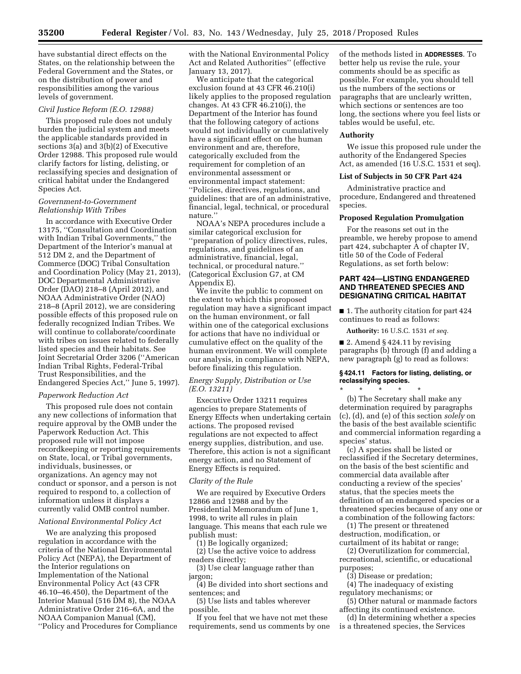have substantial direct effects on the States, on the relationship between the Federal Government and the States, or on the distribution of power and responsibilities among the various levels of government.

### *Civil Justice Reform (E.O. 12988)*

This proposed rule does not unduly burden the judicial system and meets the applicable standards provided in sections 3(a) and 3(b)(2) of Executive Order 12988. This proposed rule would clarify factors for listing, delisting, or reclassifying species and designation of critical habitat under the Endangered Species Act.

### *Government-to-Government Relationship With Tribes*

In accordance with Executive Order 13175, ''Consultation and Coordination with Indian Tribal Governments,'' the Department of the Interior's manual at 512 DM 2, and the Department of Commerce (DOC) Tribal Consultation and Coordination Policy (May 21, 2013), DOC Departmental Administrative Order (DAO) 218–8 (April 2012), and NOAA Administrative Order (NAO) 218–8 (April 2012), we are considering possible effects of this proposed rule on federally recognized Indian Tribes. We will continue to collaborate/coordinate with tribes on issues related to federally listed species and their habitats. See Joint Secretarial Order 3206 (''American Indian Tribal Rights, Federal-Tribal Trust Responsibilities, and the Endangered Species Act,'' June 5, 1997).

#### *Paperwork Reduction Act*

This proposed rule does not contain any new collections of information that require approval by the OMB under the Paperwork Reduction Act. This proposed rule will not impose recordkeeping or reporting requirements on State, local, or Tribal governments, individuals, businesses, or organizations. An agency may not conduct or sponsor, and a person is not required to respond to, a collection of information unless it displays a currently valid OMB control number.

### *National Environmental Policy Act*

We are analyzing this proposed regulation in accordance with the criteria of the National Environmental Policy Act (NEPA), the Department of the Interior regulations on Implementation of the National Environmental Policy Act (43 CFR 46.10–46.450), the Department of the Interior Manual (516 DM 8), the NOAA Administrative Order 216–6A, and the NOAA Companion Manual (CM),

''Policy and Procedures for Compliance

with the National Environmental Policy Act and Related Authorities'' (effective January 13, 2017).

We anticipate that the categorical exclusion found at 43 CFR 46.210(i) likely applies to the proposed regulation changes. At 43 CFR 46.210(i), the Department of the Interior has found that the following category of actions would not individually or cumulatively have a significant effect on the human environment and are, therefore, categorically excluded from the requirement for completion of an environmental assessment or environmental impact statement: ''Policies, directives, regulations, and guidelines: that are of an administrative, financial, legal, technical, or procedural nature.''

NOAA's NEPA procedures include a similar categorical exclusion for ''preparation of policy directives, rules, regulations, and guidelines of an administrative, financial, legal, technical, or procedural nature.'' (Categorical Exclusion G7, at CM Appendix E).

We invite the public to comment on the extent to which this proposed regulation may have a significant impact on the human environment, or fall within one of the categorical exclusions for actions that have no individual or cumulative effect on the quality of the human environment. We will complete our analysis, in compliance with NEPA, before finalizing this regulation.

### *Energy Supply, Distribution or Use (E.O. 13211)*

Executive Order 13211 requires agencies to prepare Statements of Energy Effects when undertaking certain actions. The proposed revised regulations are not expected to affect energy supplies, distribution, and use. Therefore, this action is not a significant energy action, and no Statement of Energy Effects is required.

#### *Clarity of the Rule*

We are required by Executive Orders 12866 and 12988 and by the Presidential Memorandum of June 1, 1998, to write all rules in plain language. This means that each rule we publish must:

(1) Be logically organized;

(2) Use the active voice to address readers directly;

(3) Use clear language rather than jargon;

(4) Be divided into short sections and sentences; and

(5) Use lists and tables wherever possible.

If you feel that we have not met these requirements, send us comments by one of the methods listed in **ADDRESSES**. To better help us revise the rule, your comments should be as specific as possible. For example, you should tell us the numbers of the sections or paragraphs that are unclearly written, which sections or sentences are too long, the sections where you feel lists or tables would be useful, etc.

#### **Authority**

We issue this proposed rule under the authority of the Endangered Species Act, as amended (16 U.S.C. 1531 et seq).

### **List of Subjects in 50 CFR Part 424**

Administrative practice and procedure, Endangered and threatened species.

### **Proposed Regulation Promulgation**

For the reasons set out in the preamble, we hereby propose to amend part 424, subchapter A of chapter IV, title 50 of the Code of Federal Regulations, as set forth below:

## **PART 424—LISTING ENDANGERED AND THREATENED SPECIES AND DESIGNATING CRITICAL HABITAT**

■ 1. The authority citation for part 424 continues to read as follows:

**Authority:** 16 U.S.C. 1531 *et seq.* 

 $\blacksquare$  2. Amend § 424.11 by revising paragraphs (b) through (f) and adding a new paragraph (g) to read as follows:

## **§ 424.11 Factors for listing, delisting, or reclassifying species.**

\* \* \* \* \* (b) The Secretary shall make any determination required by paragraphs (c), (d), and (e) of this section *solely* on the basis of the best available scientific and commercial information regarding a species' status.

(c) A species shall be listed or reclassified if the Secretary determines, on the basis of the best scientific and commercial data available after conducting a review of the species' status, that the species meets the definition of an endangered species or a threatened species because of any one or a combination of the following factors:

(1) The present or threatened destruction, modification, or curtailment of its habitat or range;

(2) Overutilization for commercial, recreational, scientific, or educational purposes;

(3) Disease or predation;

(4) The inadequacy of existing regulatory mechanisms; or

(5) Other natural or manmade factors affecting its continued existence.

(d) In determining whether a species is a threatened species, the Services